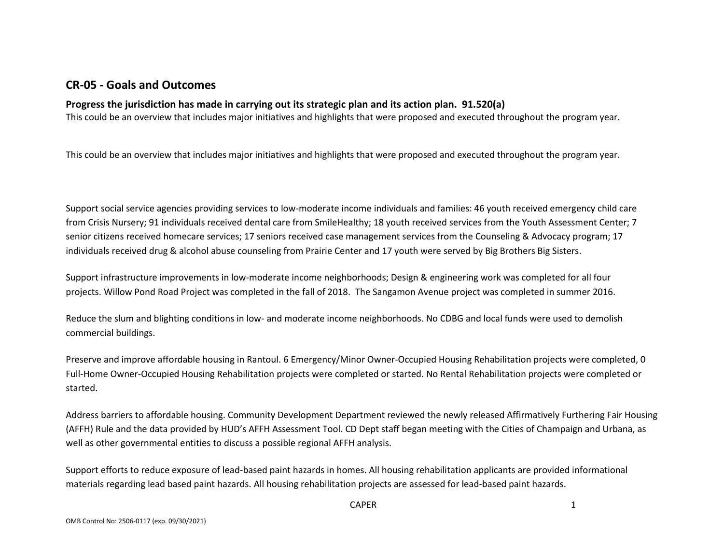### **CR-05 - Goals and Outcomes**

### **Progress the jurisdiction has made in carrying out its strategic plan and its action plan. 91.520(a)**

This could be an overview that includes major initiatives and highlights that were proposed and executed throughout the program year.

This could be an overview that includes major initiatives and highlights that were proposed and executed throughout the program year.

Support social service agencies providing services to low-moderate income individuals and families: 46 youth received emergency child care from Crisis Nursery; 91 individuals received dental care from SmileHealthy; 18 youth received services from the Youth Assessment Center; 7 senior citizens received homecare services; 17 seniors received case management services from the Counseling & Advocacy program; 17 individuals received drug & alcohol abuse counseling from Prairie Center and 17 youth were served by Big Brothers Big Sisters.

Support infrastructure improvements in low-moderate income neighborhoods; Design & engineering work was completed for all four projects. Willow Pond Road Project was completed in the fall of 2018. The Sangamon Avenue project was completed in summer 2016.

Reduce the slum and blighting conditions in low- and moderate income neighborhoods. No CDBG and local funds were used to demolish commercial buildings.

Preserve and improve affordable housing in Rantoul. 6 Emergency/Minor Owner-Occupied Housing Rehabilitation projects were completed, 0 Full-Home Owner-Occupied Housing Rehabilitation projects were completed or started. No Rental Rehabilitation projects were completed or started.

Address barriers to affordable housing. Community Development Department reviewed the newly released Affirmatively Furthering Fair Housing (AFFH) Rule and the data provided by HUD's AFFH Assessment Tool. CD Dept staff began meeting with the Cities of Champaign and Urbana, as well as other governmental entities to discuss a possible regional AFFH analysis.

Support efforts to reduce exposure of lead-based paint hazards in homes. All housing rehabilitation applicants are provided informational materials regarding lead based paint hazards. All housing rehabilitation projects are assessed for lead-based paint hazards.

CAPER 1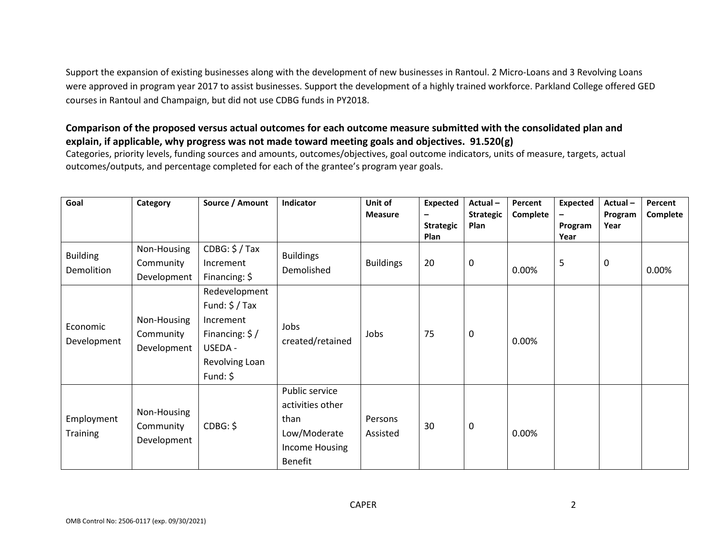Support the expansion of existing businesses along with the development of new businesses in Rantoul. 2 Micro-Loans and 3 Revolving Loans were approved in program year 2017 to assist businesses. Support the development of a highly trained workforce. Parkland College offered GED courses in Rantoul and Champaign, but did not use CDBG funds in PY2018.

#### **Comparison of the proposed versus actual outcomes for each outcome measure submitted with the consolidated plan and explain, if applicable, why progress was not made toward meeting goals and objectives. 91.520(g)**

Categories, priority levels, funding sources and amounts, outcomes/objectives, goal outcome indicators, units of measure, targets, actual outcomes/outputs, and percentage completed for each of the grantee's program year goals.

| Goal                          | Category                                | Source / Amount                                                                                                     | Indicator                                                                                      | Unit of<br><b>Measure</b> | <b>Expected</b><br>-<br><b>Strategic</b><br>Plan | Actual-<br><b>Strategic</b><br><b>Plan</b> | Percent<br>Complete | Expected<br>Program<br>Year | Actual-<br>Program<br>Year | Percent<br>Complete |
|-------------------------------|-----------------------------------------|---------------------------------------------------------------------------------------------------------------------|------------------------------------------------------------------------------------------------|---------------------------|--------------------------------------------------|--------------------------------------------|---------------------|-----------------------------|----------------------------|---------------------|
| <b>Building</b><br>Demolition | Non-Housing<br>Community<br>Development | $CDBG: $/$ Tax<br>Increment<br>Financing: $\oint$                                                                   | <b>Buildings</b><br>Demolished                                                                 | <b>Buildings</b>          | 20                                               | $\mathbf 0$                                | $0.00\%$            | 5                           | $\mathbf 0$                | 0.00%               |
| Economic<br>Development       | Non-Housing<br>Community<br>Development | Redevelopment<br>Fund: $\frac{2}{3}$ / Tax<br>Increment<br>Financing: \$/<br>USEDA -<br>Revolving Loan<br>Fund: $$$ | Jobs<br>created/retained                                                                       | Jobs                      | 75                                               | $\boldsymbol{0}$                           | 0.00%               |                             |                            |                     |
| Employment<br><b>Training</b> | Non-Housing<br>Community<br>Development | CDBG: \$                                                                                                            | Public service<br>activities other<br>than<br>Low/Moderate<br>Income Housing<br><b>Benefit</b> | Persons<br>Assisted       | 30                                               | $\mathbf 0$                                | 0.00%               |                             |                            |                     |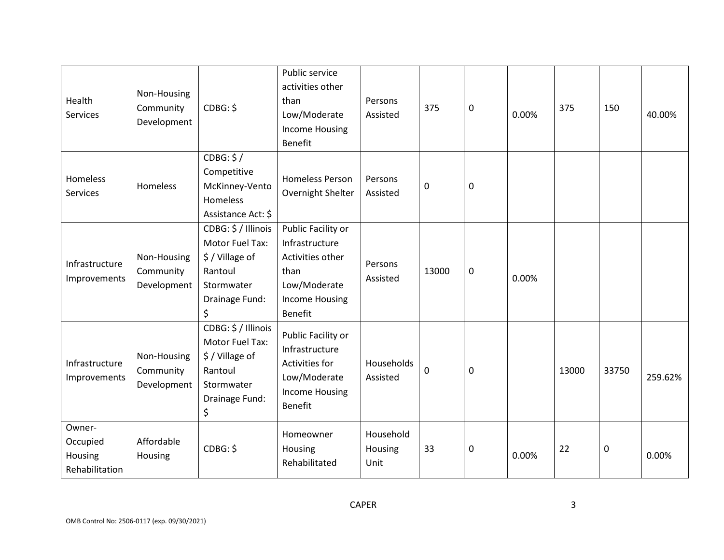| Health<br><b>Services</b>                       | Non-Housing<br>Community<br>Development | CDBG: \$                                                                                                 | Public service<br>activities other<br>than<br>Low/Moderate<br><b>Income Housing</b><br><b>Benefit</b>                       | Persons<br>Assisted          | 375   | $\mathbf 0$ | 0.00% | 375   | 150         | 40.00%  |
|-------------------------------------------------|-----------------------------------------|----------------------------------------------------------------------------------------------------------|-----------------------------------------------------------------------------------------------------------------------------|------------------------------|-------|-------------|-------|-------|-------------|---------|
| Homeless<br><b>Services</b>                     | Homeless                                | CDBG: \$/<br>Competitive<br>McKinney-Vento<br>Homeless<br>Assistance Act: \$                             | <b>Homeless Person</b><br>Overnight Shelter                                                                                 | Persons<br>Assisted          | 0     | $\mathbf 0$ |       |       |             |         |
| Infrastructure<br>Improvements                  | Non-Housing<br>Community<br>Development | CDBG: \$ / Illinois<br>Motor Fuel Tax:<br>\$/Village of<br>Rantoul<br>Stormwater<br>Drainage Fund:<br>\$ | Public Facility or<br>Infrastructure<br>Activities other<br>than<br>Low/Moderate<br><b>Income Housing</b><br><b>Benefit</b> | Persons<br>Assisted          | 13000 | $\mathbf 0$ | 0.00% |       |             |         |
| Infrastructure<br>Improvements                  | Non-Housing<br>Community<br>Development | CDBG: \$ / Illinois<br>Motor Fuel Tax:<br>\$/Village of<br>Rantoul<br>Stormwater<br>Drainage Fund:<br>\$ | Public Facility or<br>Infrastructure<br>Activities for<br>Low/Moderate<br><b>Income Housing</b><br><b>Benefit</b>           | Households<br>Assisted       | 0     | $\mathbf 0$ |       | 13000 | 33750       | 259.62% |
| Owner-<br>Occupied<br>Housing<br>Rehabilitation | Affordable<br>Housing                   | CDBG: \$                                                                                                 | Homeowner<br>Housing<br>Rehabilitated                                                                                       | Household<br>Housing<br>Unit | 33    | $\pmb{0}$   | 0.00% | 22    | $\mathbf 0$ | 0.00%   |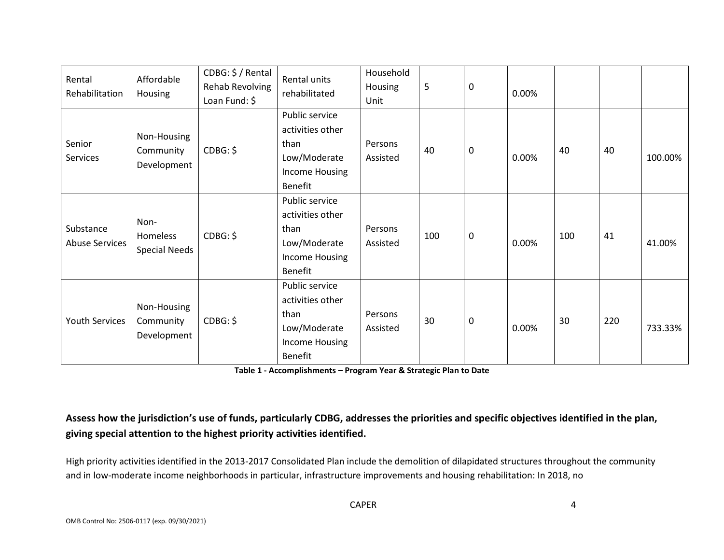| Rental<br>Rehabilitation           | Affordable<br>Housing                    | CDBG: \$ / Rental<br><b>Rehab Revolving</b><br>Loan Fund: \$ | Rental units<br>rehabilitated                                                                  | Household<br>Housing<br>Unit | 5   | $\mathbf 0$ | 0.00% |     |     |         |
|------------------------------------|------------------------------------------|--------------------------------------------------------------|------------------------------------------------------------------------------------------------|------------------------------|-----|-------------|-------|-----|-----|---------|
| Senior<br>Services                 | Non-Housing<br>Community<br>Development  | CDBG: \$                                                     | Public service<br>activities other<br>than<br>Low/Moderate<br>Income Housing<br>Benefit        | Persons<br>Assisted          | 40  | $\mathsf 0$ | 0.00% | 40  | 40  | 100.00% |
| Substance<br><b>Abuse Services</b> | Non-<br>Homeless<br><b>Special Needs</b> | CDBG: \$                                                     | Public service<br>activities other<br>than<br>Low/Moderate<br>Income Housing<br>Benefit        | Persons<br>Assisted          | 100 | 0           | 0.00% | 100 | 41  | 41.00%  |
| <b>Youth Services</b>              | Non-Housing<br>Community<br>Development  | CDBG: \$                                                     | Public service<br>activities other<br>than<br>Low/Moderate<br>Income Housing<br><b>Benefit</b> | Persons<br>Assisted          | 30  | $\mathbf 0$ | 0.00% | 30  | 220 | 733.33% |

**Table 1 - Accomplishments – Program Year & Strategic Plan to Date**

# **Assess how the jurisdiction's use of funds, particularly CDBG, addresses the priorities and specific objectives identified in the plan, giving special attention to the highest priority activities identified.**

High priority activities identified in the 2013-2017 Consolidated Plan include the demolition of dilapidated structures throughout the community and in low-moderate income neighborhoods in particular, infrastructure improvements and housing rehabilitation: In 2018, no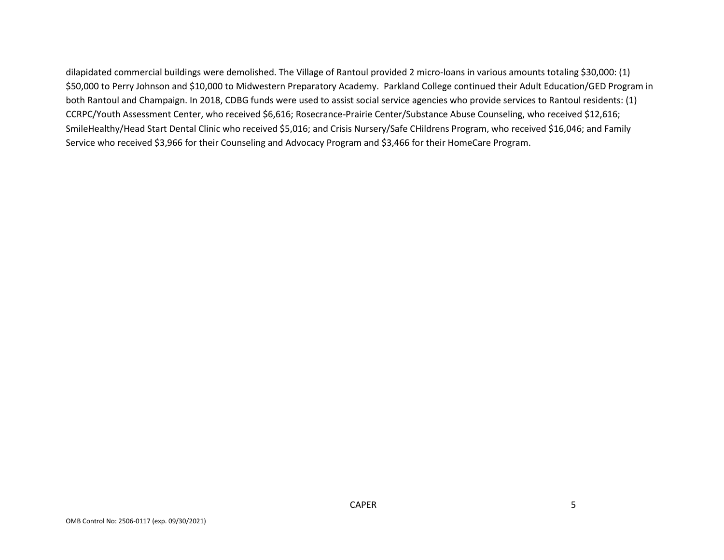dilapidated commercial buildings were demolished. The Village of Rantoul provided 2 micro-loans in various amounts totaling \$30,000: (1) \$50,000 to Perry Johnson and \$10,000 to Midwestern Preparatory Academy. Parkland College continued their Adult Education/GED Program in both Rantoul and Champaign. In 2018, CDBG funds were used to assist social service agencies who provide services to Rantoul residents: (1) CCRPC/Youth Assessment Center, who received \$6,616; Rosecrance-Prairie Center/Substance Abuse Counseling, who received \$12,616; SmileHealthy/Head Start Dental Clinic who received \$5,016; and Crisis Nursery/Safe CHildrens Program, who received \$16,046; and Family Service who received \$3,966 for their Counseling and Advocacy Program and \$3,466 for their HomeCare Program.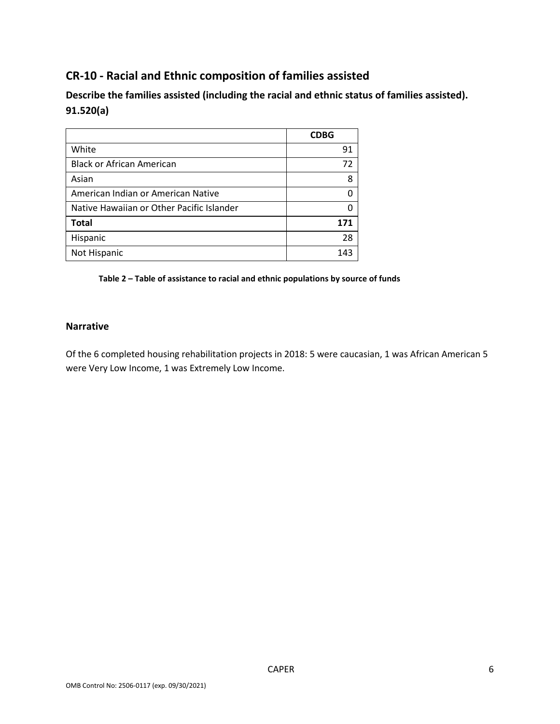# **CR-10 - Racial and Ethnic composition of families assisted**

**Describe the families assisted (including the racial and ethnic status of families assisted). 91.520(a)** 

|                                           | <b>CDBG</b> |
|-------------------------------------------|-------------|
| White                                     | 91          |
| <b>Black or African American</b>          | 72          |
| Asian                                     | 8           |
| American Indian or American Native        |             |
| Native Hawaiian or Other Pacific Islander |             |
| <b>Total</b>                              | 171         |
| Hispanic                                  | 28          |
| Not Hispanic                              | 143         |

**Table 2 – Table of assistance to racial and ethnic populations by source of funds**

#### **Narrative**

Of the 6 completed housing rehabilitation projects in 2018: 5 were caucasian, 1 was African American 5 were Very Low Income, 1 was Extremely Low Income.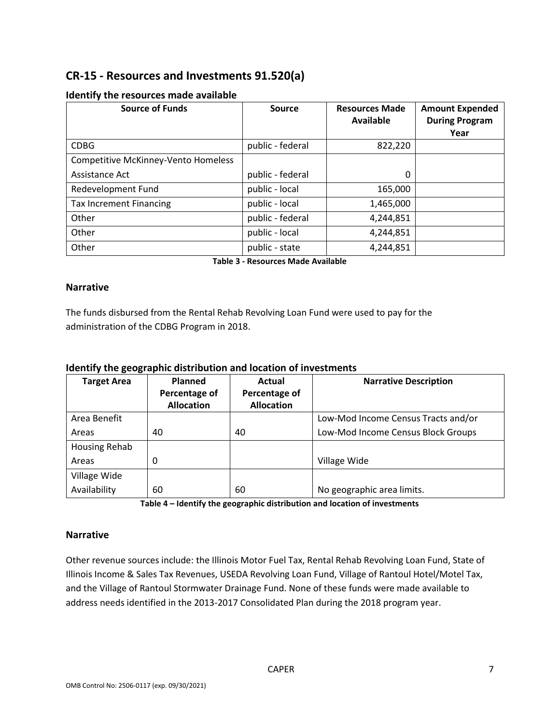# **CR-15 - Resources and Investments 91.520(a)**

| <b>Source of Funds</b>                     | <b>Source</b>    | <b>Resources Made</b><br>Available | <b>Amount Expended</b><br><b>During Program</b><br>Year |
|--------------------------------------------|------------------|------------------------------------|---------------------------------------------------------|
| <b>CDBG</b>                                | public - federal | 822,220                            |                                                         |
| <b>Competitive McKinney-Vento Homeless</b> |                  |                                    |                                                         |
| Assistance Act                             | public - federal | 0                                  |                                                         |
| Redevelopment Fund                         | public - local   | 165,000                            |                                                         |
| <b>Tax Increment Financing</b>             | public - local   | 1,465,000                          |                                                         |
| Other                                      | public - federal | 4,244,851                          |                                                         |
| Other                                      | public - local   | 4,244,851                          |                                                         |
| Other                                      | public - state   | 4,244,851                          |                                                         |

#### **Identify the resources made available**

**Table 3 - Resources Made Available**

#### **Narrative**

The funds disbursed from the Rental Rehab Revolving Loan Fund were used to pay for the administration of the CDBG Program in 2018.

#### **Identify the geographic distribution and location of investments**

| <b>Target Area</b>   | Planned           | Actual            | <b>Narrative Description</b>        |
|----------------------|-------------------|-------------------|-------------------------------------|
|                      | Percentage of     | Percentage of     |                                     |
|                      | <b>Allocation</b> | <b>Allocation</b> |                                     |
| Area Benefit         |                   |                   | Low-Mod Income Census Tracts and/or |
| Areas                | 40                | 40                | Low-Mod Income Census Block Groups  |
| <b>Housing Rehab</b> |                   |                   |                                     |
| Areas                | 0                 |                   | Village Wide                        |
| Village Wide         |                   |                   |                                     |
| Availability         | 60                | 60                | No geographic area limits.          |

**Table 4 – Identify the geographic distribution and location of investments**

#### **Narrative**

Other revenue sources include: the Illinois Motor Fuel Tax, Rental Rehab Revolving Loan Fund, State of Illinois Income & Sales Tax Revenues, USEDA Revolving Loan Fund, Village of Rantoul Hotel/Motel Tax, and the Village of Rantoul Stormwater Drainage Fund. None of these funds were made available to address needs identified in the 2013-2017 Consolidated Plan during the 2018 program year.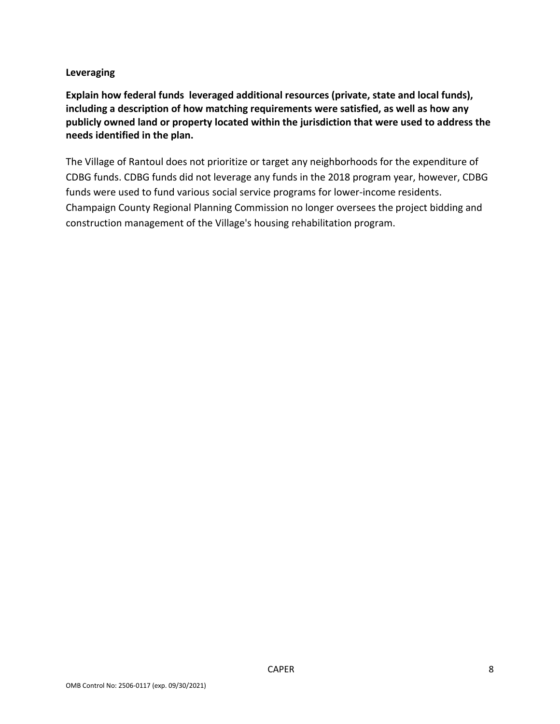#### **Leveraging**

**Explain how federal funds leveraged additional resources (private, state and local funds), including a description of how matching requirements were satisfied, as well as how any publicly owned land or property located within the jurisdiction that were used to address the needs identified in the plan.**

The Village of Rantoul does not prioritize or target any neighborhoods for the expenditure of CDBG funds. CDBG funds did not leverage any funds in the 2018 program year, however, CDBG funds were used to fund various social service programs for lower-income residents. Champaign County Regional Planning Commission no longer oversees the project bidding and construction management of the Village's housing rehabilitation program.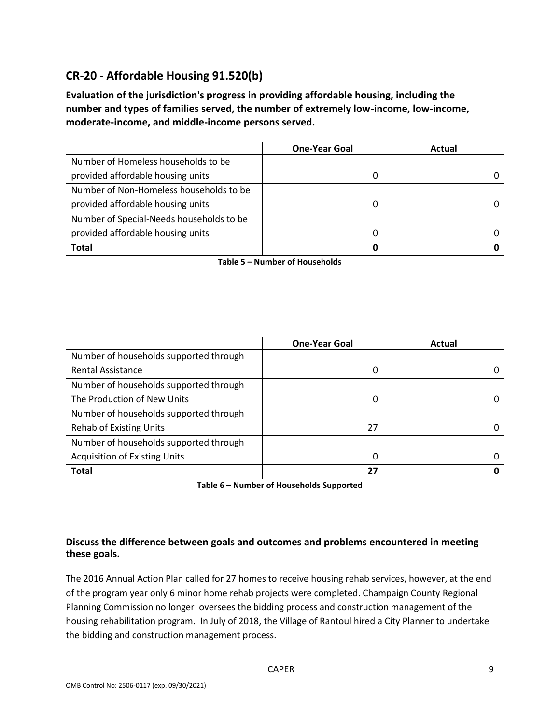# **CR-20 - Affordable Housing 91.520(b)**

**Evaluation of the jurisdiction's progress in providing affordable housing, including the number and types of families served, the number of extremely low-income, low-income, moderate-income, and middle-income persons served.**

|                                          | <b>One-Year Goal</b> | Actual |
|------------------------------------------|----------------------|--------|
| Number of Homeless households to be      |                      |        |
| provided affordable housing units        |                      |        |
| Number of Non-Homeless households to be  |                      |        |
| provided affordable housing units        | 0                    |        |
| Number of Special-Needs households to be |                      |        |
| provided affordable housing units        |                      |        |
| <b>Total</b>                             | 0                    |        |

**Table 5 – Number of Households**

|                                        | <b>One-Year Goal</b> | Actual |
|----------------------------------------|----------------------|--------|
| Number of households supported through |                      |        |
| <b>Rental Assistance</b>               | 0                    |        |
| Number of households supported through |                      |        |
| The Production of New Units            | 0                    |        |
| Number of households supported through |                      |        |
| <b>Rehab of Existing Units</b>         | 27                   |        |
| Number of households supported through |                      |        |
| <b>Acquisition of Existing Units</b>   | 0                    |        |
| <b>Total</b>                           | 27                   |        |

**Table 6 – Number of Households Supported**

### **Discuss the difference between goals and outcomes and problems encountered in meeting these goals.**

The 2016 Annual Action Plan called for 27 homes to receive housing rehab services, however, at the end of the program year only 6 minor home rehab projects were completed. Champaign County Regional Planning Commission no longer oversees the bidding process and construction management of the housing rehabilitation program. In July of 2018, the Village of Rantoul hired a City Planner to undertake the bidding and construction management process.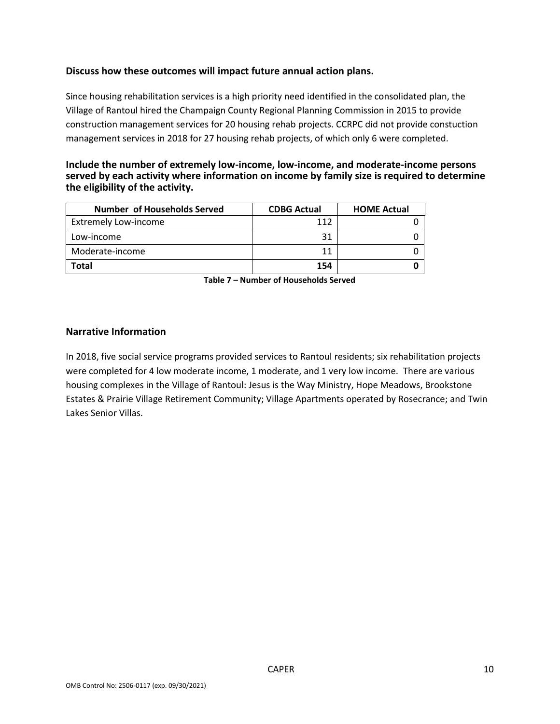#### **Discuss how these outcomes will impact future annual action plans.**

Since housing rehabilitation services is a high priority need identified in the consolidated plan, the Village of Rantoul hired the Champaign County Regional Planning Commission in 2015 to provide construction management services for 20 housing rehab projects. CCRPC did not provide constuction management services in 2018 for 27 housing rehab projects, of which only 6 were completed.

#### **Include the number of extremely low-income, low-income, and moderate-income persons served by each activity where information on income by family size is required to determine the eligibility of the activity.**

| Number of Households Served | <b>CDBG Actual</b> | <b>HOME Actual</b> |
|-----------------------------|--------------------|--------------------|
| <b>Extremely Low-income</b> | 112                |                    |
| Low-income                  | 31                 |                    |
| Moderate-income             | 11                 |                    |
| Total                       | 154                |                    |

**Table 7 – Number of Households Served**

#### **Narrative Information**

In 2018, five social service programs provided services to Rantoul residents; six rehabilitation projects were completed for 4 low moderate income, 1 moderate, and 1 very low income. There are various housing complexes in the Village of Rantoul: Jesus is the Way Ministry, Hope Meadows, Brookstone Estates & Prairie Village Retirement Community; Village Apartments operated by Rosecrance; and Twin Lakes Senior Villas.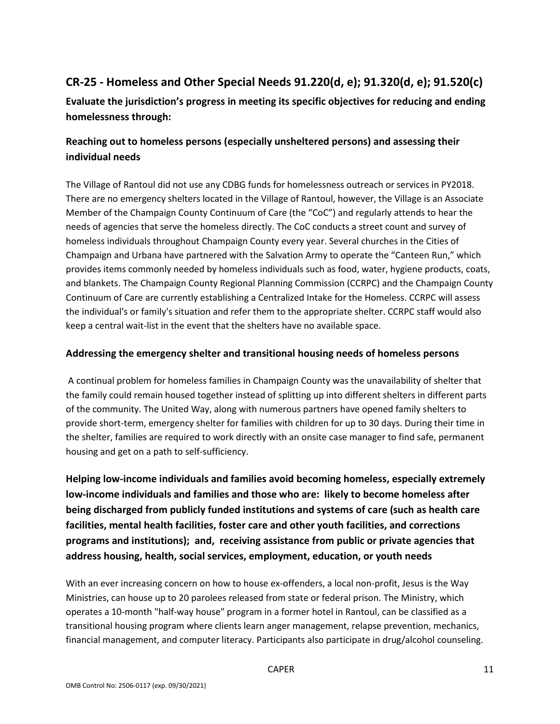# **CR-25 - Homeless and Other Special Needs 91.220(d, e); 91.320(d, e); 91.520(c)**

**Evaluate the jurisdiction's progress in meeting its specific objectives for reducing and ending homelessness through:**

## **Reaching out to homeless persons (especially unsheltered persons) and assessing their individual needs**

The Village of Rantoul did not use any CDBG funds for homelessness outreach or services in PY2018. There are no emergency shelters located in the Village of Rantoul, however, the Village is an Associate Member of the Champaign County Continuum of Care (the "CoC") and regularly attends to hear the needs of agencies that serve the homeless directly. The CoC conducts a street count and survey of homeless individuals throughout Champaign County every year. Several churches in the Cities of Champaign and Urbana have partnered with the Salvation Army to operate the "Canteen Run," which provides items commonly needed by homeless individuals such as food, water, hygiene products, coats, and blankets. The Champaign County Regional Planning Commission (CCRPC) and the Champaign County Continuum of Care are currently establishing a Centralized Intake for the Homeless. CCRPC will assess the individual's or family's situation and refer them to the appropriate shelter. CCRPC staff would also keep a central wait-list in the event that the shelters have no available space.

### **Addressing the emergency shelter and transitional housing needs of homeless persons**

A continual problem for homeless families in Champaign County was the unavailability of shelter that the family could remain housed together instead of splitting up into different shelters in different parts of the community. The United Way, along with numerous partners have opened family shelters to provide short-term, emergency shelter for families with children for up to 30 days. During their time in the shelter, families are required to work directly with an onsite case manager to find safe, permanent housing and get on a path to self-sufficiency.

**Helping low-income individuals and families avoid becoming homeless, especially extremely low-income individuals and families and those who are: likely to become homeless after being discharged from publicly funded institutions and systems of care (such as health care facilities, mental health facilities, foster care and other youth facilities, and corrections programs and institutions); and, receiving assistance from public or private agencies that address housing, health, social services, employment, education, or youth needs**

With an ever increasing concern on how to house ex-offenders, a local non-profit, Jesus is the Way Ministries, can house up to 20 parolees released from state or federal prison. The Ministry, which operates a 10-month "half-way house" program in a former hotel in Rantoul, can be classified as a transitional housing program where clients learn anger management, relapse prevention, mechanics, financial management, and computer literacy. Participants also participate in drug/alcohol counseling.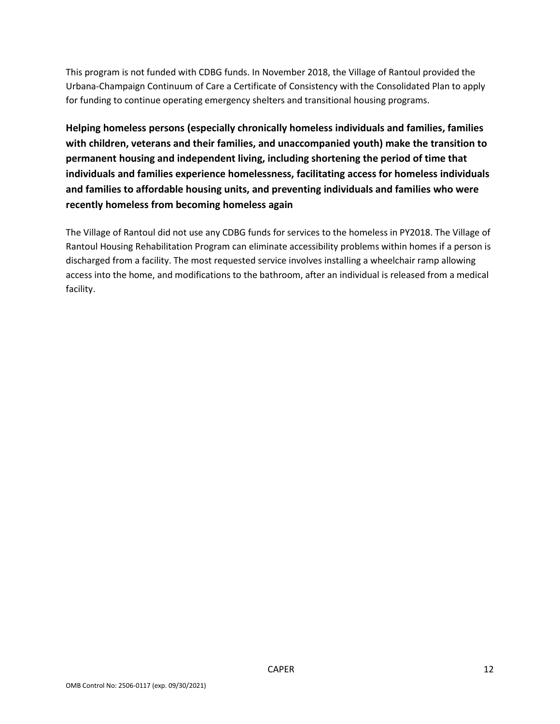This program is not funded with CDBG funds. In November 2018, the Village of Rantoul provided the Urbana-Champaign Continuum of Care a Certificate of Consistency with the Consolidated Plan to apply for funding to continue operating emergency shelters and transitional housing programs.

**Helping homeless persons (especially chronically homeless individuals and families, families with children, veterans and their families, and unaccompanied youth) make the transition to permanent housing and independent living, including shortening the period of time that individuals and families experience homelessness, facilitating access for homeless individuals and families to affordable housing units, and preventing individuals and families who were recently homeless from becoming homeless again**

The Village of Rantoul did not use any CDBG funds for services to the homeless in PY2018. The Village of Rantoul Housing Rehabilitation Program can eliminate accessibility problems within homes if a person is discharged from a facility. The most requested service involves installing a wheelchair ramp allowing access into the home, and modifications to the bathroom, after an individual is released from a medical facility.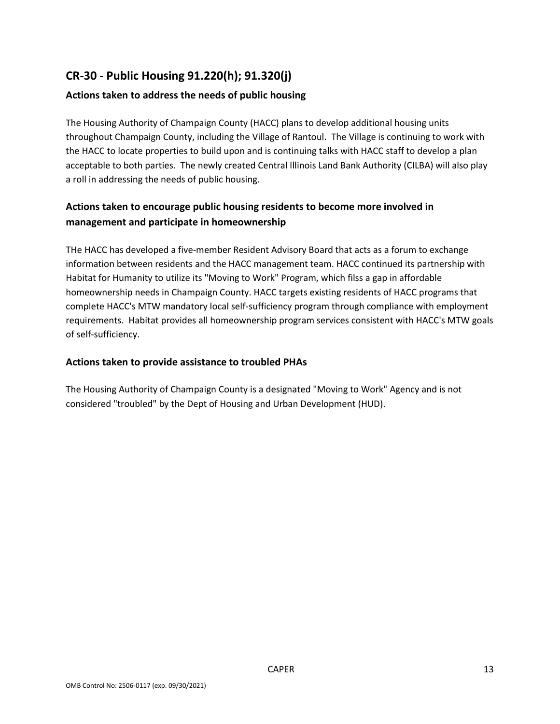# **CR-30 - Public Housing 91.220(h); 91.320(j)**

### **Actions taken to address the needs of public housing**

The Housing Authority of Champaign County (HACC) plans to develop additional housing units throughout Champaign County, including the Village of Rantoul. The Village is continuing to work with the HACC to locate properties to build upon and is continuing talks with HACC staff to develop a plan acceptable to both parties. The newly created Central Illinois Land Bank Authority (CILBA) will also play a roll in addressing the needs of public housing.

### **Actions taken to encourage public housing residents to become more involved in management and participate in homeownership**

THe HACC has developed a five-member Resident Advisory Board that acts as a forum to exchange information between residents and the HACC management team. HACC continued its partnership with Habitat for Humanity to utilize its "Moving to Work" Program, which filss a gap in affordable homeownership needs in Champaign County. HACC targets existing residents of HACC programs that complete HACC's MTW mandatory local self-sufficiency program through compliance with employment requirements. Habitat provides all homeownership program services consistent with HACC's MTW goals of self-sufficiency.

### **Actions taken to provide assistance to troubled PHAs**

The Housing Authority of Champaign County is a designated "Moving to Work" Agency and is not considered "troubled" by the Dept of Housing and Urban Development (HUD).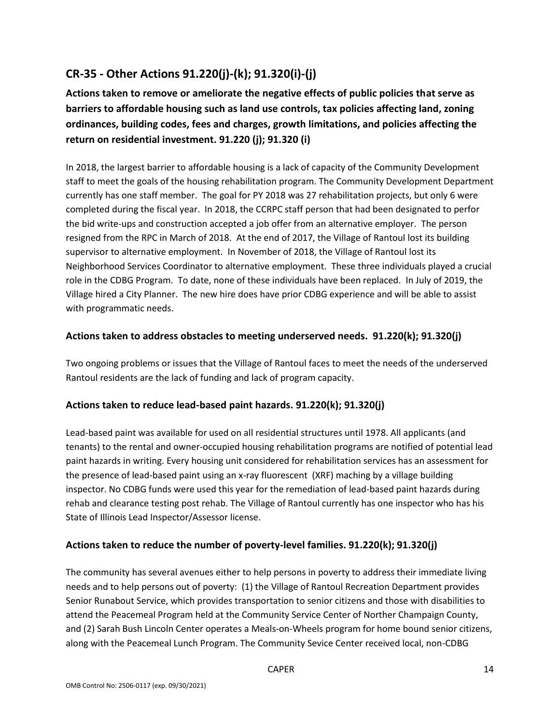# **CR-35 - Other Actions 91.220(j)-(k); 91.320(i)-(j)**

**Actions taken to remove or ameliorate the negative effects of public policies that serve as barriers to affordable housing such as land use controls, tax policies affecting land, zoning ordinances, building codes, fees and charges, growth limitations, and policies affecting the return on residential investment. 91.220 (j); 91.320 (i)**

In 2018, the largest barrier to affordable housing is a lack of capacity of the Community Development staff to meet the goals of the housing rehabilitation program. The Community Development Department currently has one staff member. The goal for PY 2018 was 27 rehabilitation projects, but only 6 were completed during the fiscal year. In 2018, the CCRPC staff person that had been designated to perfor the bid write-ups and construction accepted a job offer from an alternative employer. The person resigned from the RPC in March of 2018. At the end of 2017, the Village of Rantoul lost its building supervisor to alternative employment. In November of 2018, the Village of Rantoul lost its Neighborhood Services Coordinator to alternative employment. These three individuals played a crucial role in the CDBG Program. To date, none of these individuals have been replaced. In July of 2019, the Village hired a City Planner. The new hire does have prior CDBG experience and will be able to assist with programmatic needs.

### **Actions taken to address obstacles to meeting underserved needs. 91.220(k); 91.320(j)**

Two ongoing problems or issues that the Village of Rantoul faces to meet the needs of the underserved Rantoul residents are the lack of funding and lack of program capacity.

### **Actions taken to reduce lead-based paint hazards. 91.220(k); 91.320(j)**

Lead-based paint was available for used on all residential structures until 1978. All applicants (and tenants) to the rental and owner-occupied housing rehabilitation programs are notified of potential lead paint hazards in writing. Every housing unit considered for rehabilitation services has an assessment for the presence of lead-based paint using an x-ray fluorescent (XRF) maching by a village building inspector. No CDBG funds were used this year for the remediation of lead-based paint hazards during rehab and clearance testing post rehab. The Village of Rantoul currently has one inspector who has his State of Illinois Lead Inspector/Assessor license.

### **Actions taken to reduce the number of poverty-level families. 91.220(k); 91.320(j)**

The community has several avenues either to help persons in poverty to address their immediate living needs and to help persons out of poverty: (1) the Village of Rantoul Recreation Department provides Senior Runabout Service, which provides transportation to senior citizens and those with disabilities to attend the Peacemeal Program held at the Community Service Center of Norther Champaign County, and (2) Sarah Bush Lincoln Center operates a Meals-on-Wheels program for home bound senior citizens, along with the Peacemeal Lunch Program. The Community Sevice Center received local, non-CDBG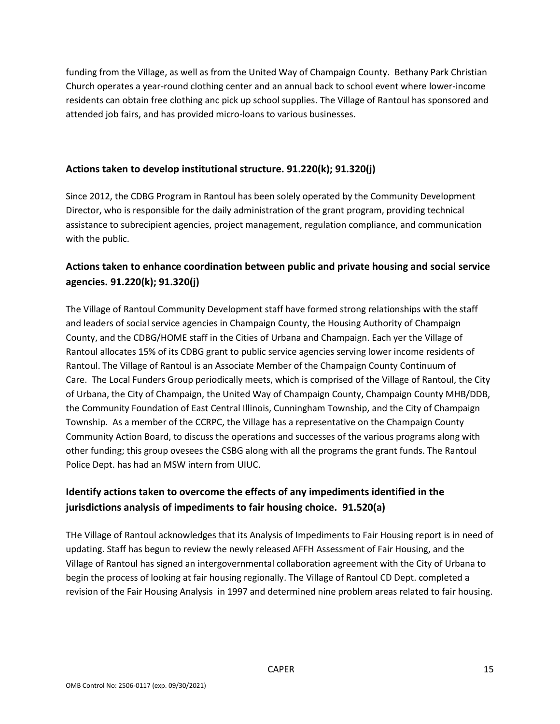funding from the Village, as well as from the United Way of Champaign County. Bethany Park Christian Church operates a year-round clothing center and an annual back to school event where lower-income residents can obtain free clothing anc pick up school supplies. The Village of Rantoul has sponsored and attended job fairs, and has provided micro-loans to various businesses.

#### **Actions taken to develop institutional structure. 91.220(k); 91.320(j)**

Since 2012, the CDBG Program in Rantoul has been solely operated by the Community Development Director, who is responsible for the daily administration of the grant program, providing technical assistance to subrecipient agencies, project management, regulation compliance, and communication with the public.

## **Actions taken to enhance coordination between public and private housing and social service agencies. 91.220(k); 91.320(j)**

The Village of Rantoul Community Development staff have formed strong relationships with the staff and leaders of social service agencies in Champaign County, the Housing Authority of Champaign County, and the CDBG/HOME staff in the Cities of Urbana and Champaign. Each yer the Village of Rantoul allocates 15% of its CDBG grant to public service agencies serving lower income residents of Rantoul. The Village of Rantoul is an Associate Member of the Champaign County Continuum of Care. The Local Funders Group periodically meets, which is comprised of the Village of Rantoul, the City of Urbana, the City of Champaign, the United Way of Champaign County, Champaign County MHB/DDB, the Community Foundation of East Central Illinois, Cunningham Township, and the City of Champaign Township. As a member of the CCRPC, the Village has a representative on the Champaign County Community Action Board, to discuss the operations and successes of the various programs along with other funding; this group ovesees the CSBG along with all the programs the grant funds. The Rantoul Police Dept. has had an MSW intern from UIUC.

## **Identify actions taken to overcome the effects of any impediments identified in the jurisdictions analysis of impediments to fair housing choice. 91.520(a)**

THe Village of Rantoul acknowledges that its Analysis of Impediments to Fair Housing report is in need of updating. Staff has begun to review the newly released AFFH Assessment of Fair Housing, and the Village of Rantoul has signed an intergovernmental collaboration agreement with the City of Urbana to begin the process of looking at fair housing regionally. The Village of Rantoul CD Dept. completed a revision of the Fair Housing Analysis in 1997 and determined nine problem areas related to fair housing.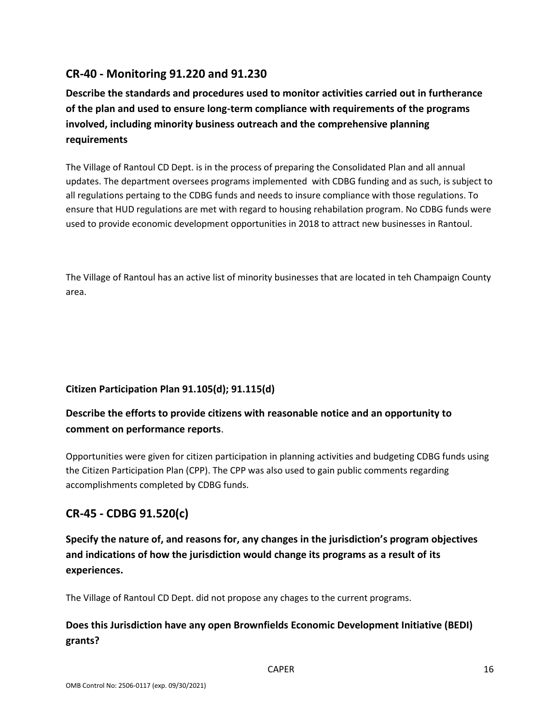# **CR-40 - Monitoring 91.220 and 91.230**

**Describe the standards and procedures used to monitor activities carried out in furtherance of the plan and used to ensure long-term compliance with requirements of the programs involved, including minority business outreach and the comprehensive planning requirements**

The Village of Rantoul CD Dept. is in the process of preparing the Consolidated Plan and all annual updates. The department oversees programs implemented with CDBG funding and as such, is subject to all regulations pertaing to the CDBG funds and needs to insure compliance with those regulations. To ensure that HUD regulations are met with regard to housing rehabilation program. No CDBG funds were used to provide economic development opportunities in 2018 to attract new businesses in Rantoul.

The Village of Rantoul has an active list of minority businesses that are located in teh Champaign County area.

### **Citizen Participation Plan 91.105(d); 91.115(d)**

## **Describe the efforts to provide citizens with reasonable notice and an opportunity to comment on performance reports**.

Opportunities were given for citizen participation in planning activities and budgeting CDBG funds using the Citizen Participation Plan (CPP). The CPP was also used to gain public comments regarding accomplishments completed by CDBG funds.

## **CR-45 - CDBG 91.520(c)**

**Specify the nature of, and reasons for, any changes in the jurisdiction's program objectives and indications of how the jurisdiction would change its programs as a result of its experiences.**

The Village of Rantoul CD Dept. did not propose any chages to the current programs.

## **Does this Jurisdiction have any open Brownfields Economic Development Initiative (BEDI) grants?**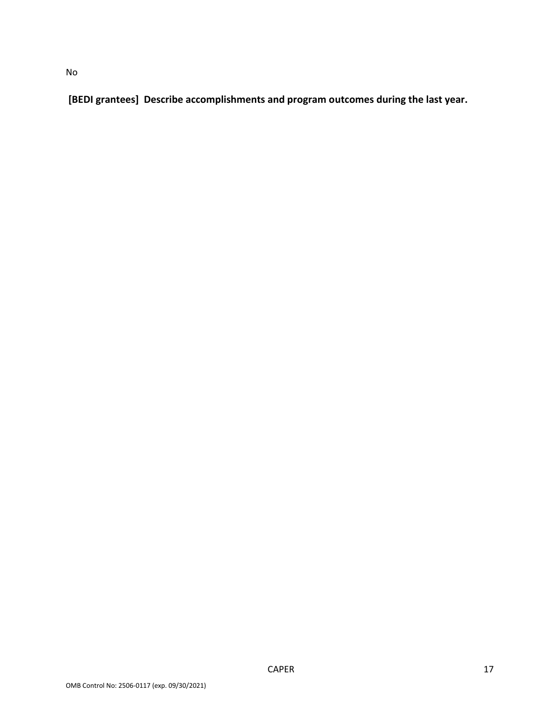**[BEDI grantees] Describe accomplishments and program outcomes during the last year.**